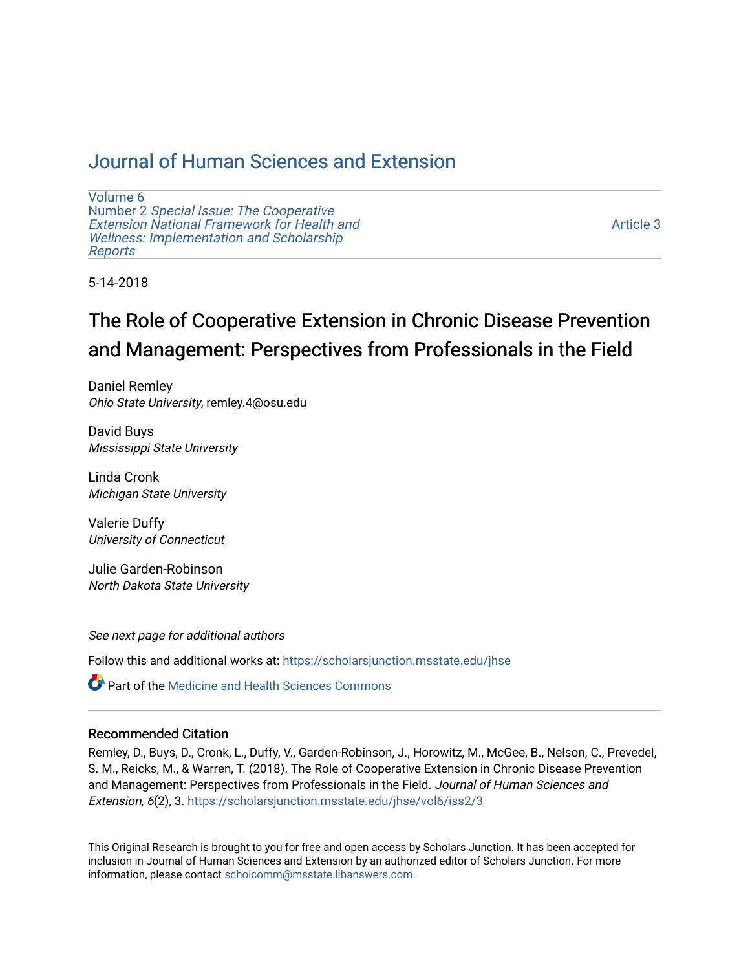## [Journal of Human Sciences and Extension](https://scholarsjunction.msstate.edu/jhse)

[Volume 6](https://scholarsjunction.msstate.edu/jhse/vol6) Number 2 [Special Issue: The Cooperative](https://scholarsjunction.msstate.edu/jhse/vol6/iss2)  [Extension National Framework for Health and](https://scholarsjunction.msstate.edu/jhse/vol6/iss2) [Wellness: Implementation and Scholarship](https://scholarsjunction.msstate.edu/jhse/vol6/iss2)  [Reports](https://scholarsjunction.msstate.edu/jhse/vol6/iss2)

[Article 3](https://scholarsjunction.msstate.edu/jhse/vol6/iss2/3) 

5-14-2018

# The Role of Cooperative Extension in Chronic Disease Prevention and Management: Perspectives from Professionals in the Field

Daniel Remley Ohio State University, remley.4@osu.edu

David Buys Mississippi State University

Linda Cronk Michigan State University

Valerie Duffy University of Connecticut

Julie Garden-Robinson North Dakota State University

See next page for additional authors

Follow this and additional works at: [https://scholarsjunction.msstate.edu/jhse](https://scholarsjunction.msstate.edu/jhse?utm_source=scholarsjunction.msstate.edu%2Fjhse%2Fvol6%2Fiss2%2F3&utm_medium=PDF&utm_campaign=PDFCoverPages)

Part of the [Medicine and Health Sciences Commons](http://network.bepress.com/hgg/discipline/648?utm_source=scholarsjunction.msstate.edu%2Fjhse%2Fvol6%2Fiss2%2F3&utm_medium=PDF&utm_campaign=PDFCoverPages) 

### Recommended Citation

Remley, D., Buys, D., Cronk, L., Duffy, V., Garden-Robinson, J., Horowitz, M., McGee, B., Nelson, C., Prevedel, S. M., Reicks, M., & Warren, T. (2018). The Role of Cooperative Extension in Chronic Disease Prevention and Management: Perspectives from Professionals in the Field. Journal of Human Sciences and Extension, 6(2), 3. [https://scholarsjunction.msstate.edu/jhse/vol6/iss2/3](https://scholarsjunction.msstate.edu/jhse/vol6/iss2/3?utm_source=scholarsjunction.msstate.edu%2Fjhse%2Fvol6%2Fiss2%2F3&utm_medium=PDF&utm_campaign=PDFCoverPages) 

This Original Research is brought to you for free and open access by Scholars Junction. It has been accepted for inclusion in Journal of Human Sciences and Extension by an authorized editor of Scholars Junction. For more information, please contact [scholcomm@msstate.libanswers.com](mailto:scholcomm@msstate.libanswers.com).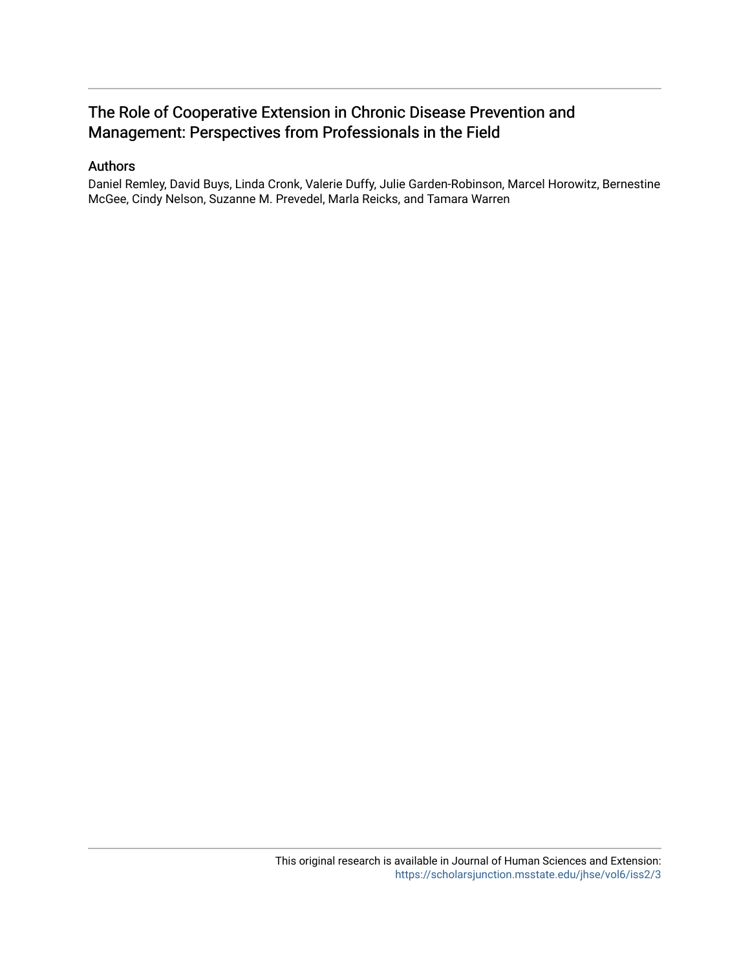## The Role of Cooperative Extension in Chronic Disease Prevention and Management: Perspectives from Professionals in the Field

## Authors

Daniel Remley, David Buys, Linda Cronk, Valerie Duffy, Julie Garden-Robinson, Marcel Horowitz, Bernestine McGee, Cindy Nelson, Suzanne M. Prevedel, Marla Reicks, and Tamara Warren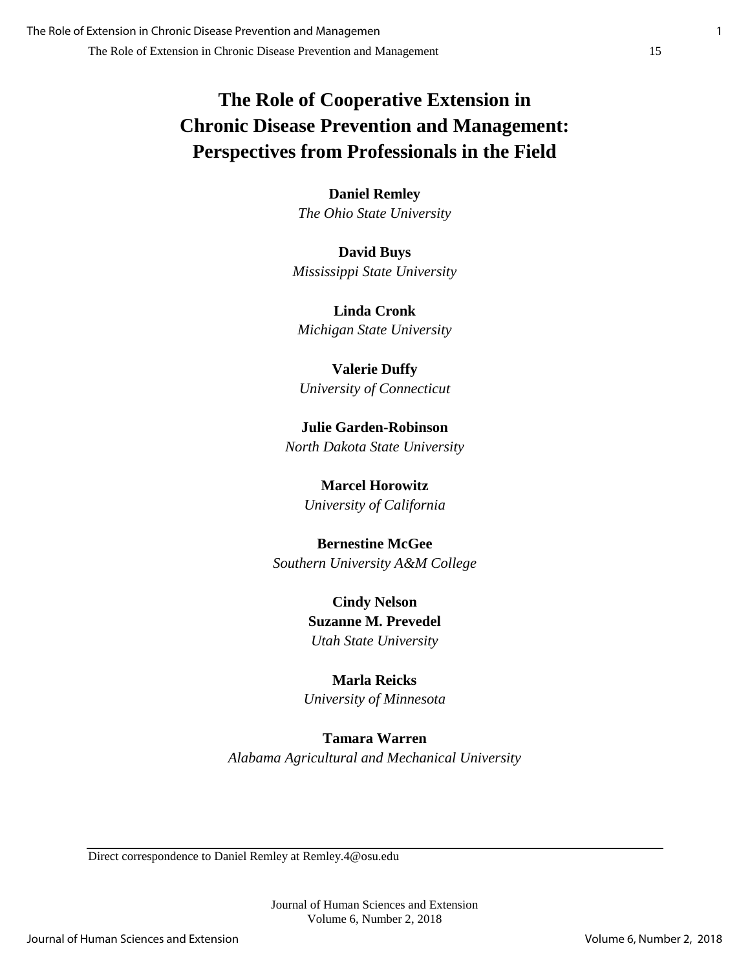## **The Role of Cooperative Extension in Chronic Disease Prevention and Management: Perspectives from Professionals in the Field**

**Daniel Remley** *The Ohio State University*

**David Buys** *Mississippi State University*

**Linda Cronk** *Michigan State University*

**Valerie Duffy** *University of Connecticut*

**Julie Garden-Robinson** *North Dakota State University*

> **Marcel Horowitz** *University of California*

## **Bernestine McGee** *Southern University A&M College*

**Cindy Nelson Suzanne M. Prevedel** *Utah State University*

**Marla Reicks** *University of Minnesota*

# **Tamara Warren**

*Alabama Agricultural and Mechanical University*

Direct correspondence to Daniel Remley at Remley.4@osu.edu

Journal of Human Sciences and Extension Volume 6, Number 2, 2018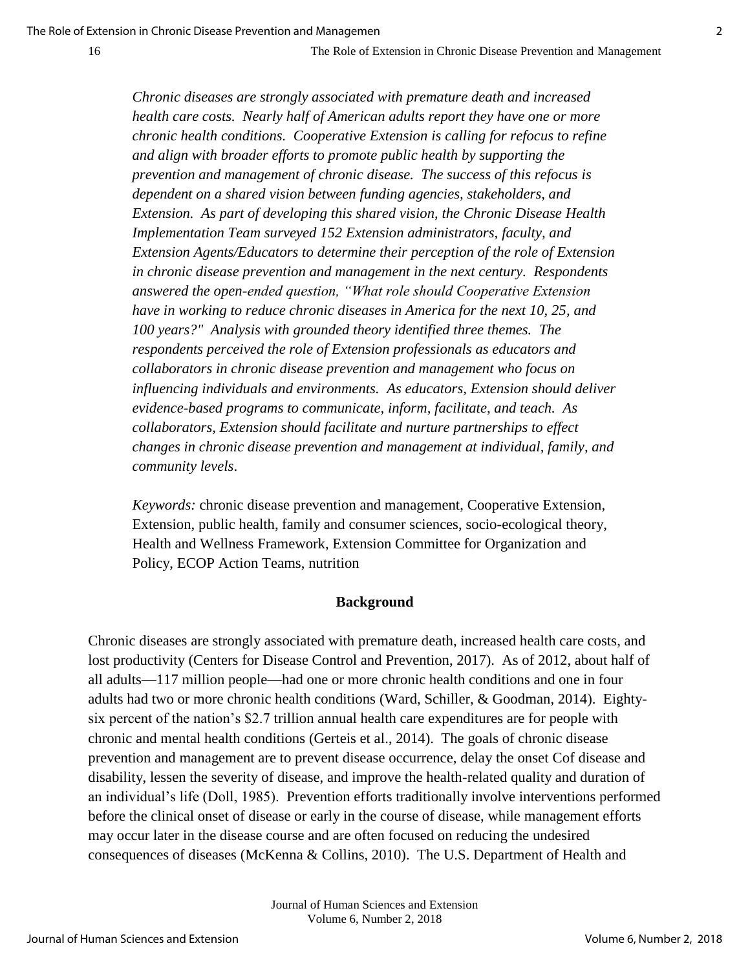*Chronic diseases are strongly associated with premature death and increased health care costs. Nearly half of American adults report they have one or more chronic health conditions. Cooperative Extension is calling for refocus to refine and align with broader efforts to promote public health by supporting the prevention and management of chronic disease. The success of this refocus is dependent on a shared vision between funding agencies, stakeholders, and Extension. As part of developing this shared vision, the Chronic Disease Health Implementation Team surveyed 152 Extension administrators, faculty, and Extension Agents/Educators to determine their perception of the role of Extension in chronic disease prevention and management in the next century. Respondents answered the open-ended question, "What role should Cooperative Extension have in working to reduce chronic diseases in America for the next 10, 25, and 100 years?" Analysis with grounded theory identified three themes. The respondents perceived the role of Extension professionals as educators and collaborators in chronic disease prevention and management who focus on influencing individuals and environments. As educators, Extension should deliver evidence-based programs to communicate, inform, facilitate, and teach. As collaborators, Extension should facilitate and nurture partnerships to effect changes in chronic disease prevention and management at individual, family, and community levels*.

*Keywords:* chronic disease prevention and management, Cooperative Extension, Extension, public health, family and consumer sciences, socio-ecological theory, Health and Wellness Framework, Extension Committee for Organization and Policy, ECOP Action Teams, nutrition

## **Background**

Chronic diseases are strongly associated with premature death, increased health care costs, and lost productivity (Centers for Disease Control and Prevention, 2017). As of 2012, about half of all adults—117 million people—had one or more chronic health conditions and one in four adults had two or more chronic health conditions (Ward, Schiller, & Goodman, 2014). Eightysix percent of the nation's \$2.7 trillion annual health care expenditures are for people with chronic and mental health conditions (Gerteis et al., 2014). The goals of chronic disease prevention and management are to prevent disease occurrence, delay the onset Cof disease and disability, lessen the severity of disease, and improve the health-related quality and duration of an individual's life (Doll, 1985). Prevention efforts traditionally involve interventions performed before the clinical onset of disease or early in the course of disease, while management efforts may occur later in the disease course and are often focused on reducing the undesired consequences of diseases (McKenna & Collins, 2010). The U.S. Department of Health and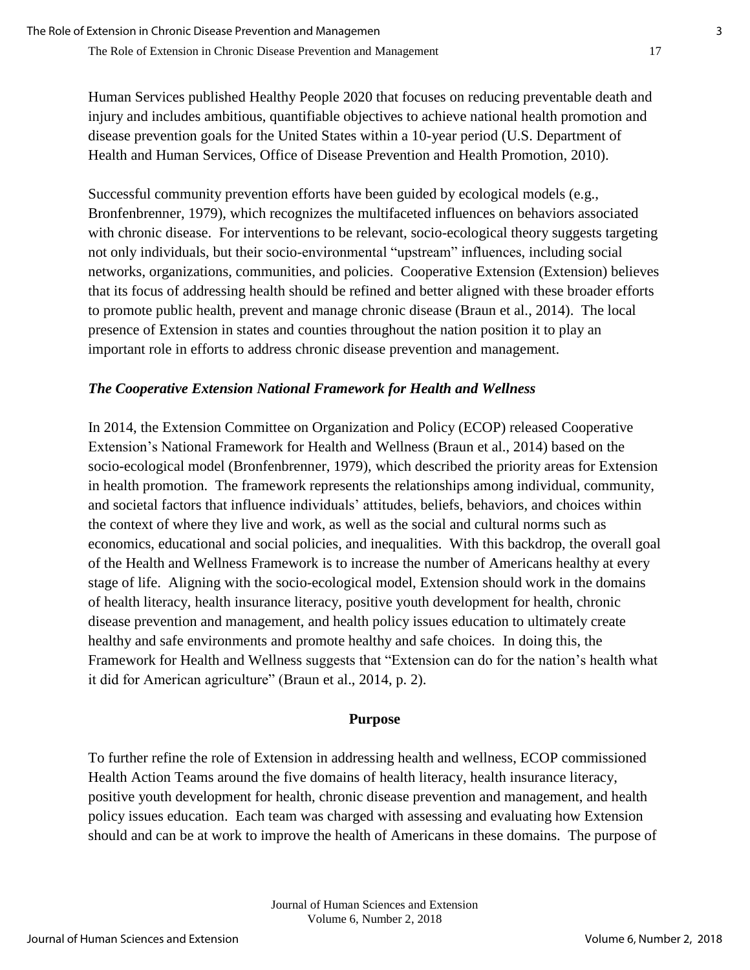Human Services published Healthy People 2020 that focuses on reducing preventable death and injury and includes ambitious, quantifiable objectives to achieve national health promotion and disease prevention goals for the United States within a 10-year period (U.S. Department of Health and Human Services, Office of Disease Prevention and Health Promotion, 2010).

Successful community prevention efforts have been guided by ecological models (e.g., Bronfenbrenner, 1979), which recognizes the multifaceted influences on behaviors associated with chronic disease. For interventions to be relevant, socio-ecological theory suggests targeting not only individuals, but their socio-environmental "upstream" influences, including social networks, organizations, communities, and policies. Cooperative Extension (Extension) believes that its focus of addressing health should be refined and better aligned with these broader efforts to promote public health, prevent and manage chronic disease (Braun et al., 2014). The local presence of Extension in states and counties throughout the nation position it to play an important role in efforts to address chronic disease prevention and management.

## *The Cooperative Extension National Framework for Health and Wellness*

In 2014, the Extension Committee on Organization and Policy (ECOP) released Cooperative Extension's National Framework for Health and Wellness (Braun et al., 2014) based on the socio-ecological model (Bronfenbrenner, 1979), which described the priority areas for Extension in health promotion. The framework represents the relationships among individual, community, and societal factors that influence individuals' attitudes, beliefs, behaviors, and choices within the context of where they live and work, as well as the social and cultural norms such as economics, educational and social policies, and inequalities. With this backdrop, the overall goal of the Health and Wellness Framework is to increase the number of Americans healthy at every stage of life. Aligning with the socio-ecological model, Extension should work in the domains of health literacy, health insurance literacy, positive youth development for health, chronic disease prevention and management, and health policy issues education to ultimately create healthy and safe environments and promote healthy and safe choices. In doing this, the Framework for Health and Wellness suggests that "Extension can do for the nation's health what it did for American agriculture" (Braun et al., 2014, p. 2).

## **Purpose**

To further refine the role of Extension in addressing health and wellness, ECOP commissioned Health Action Teams around the five domains of health literacy, health insurance literacy, positive youth development for health, chronic disease prevention and management, and health policy issues education. Each team was charged with assessing and evaluating how Extension should and can be at work to improve the health of Americans in these domains. The purpose of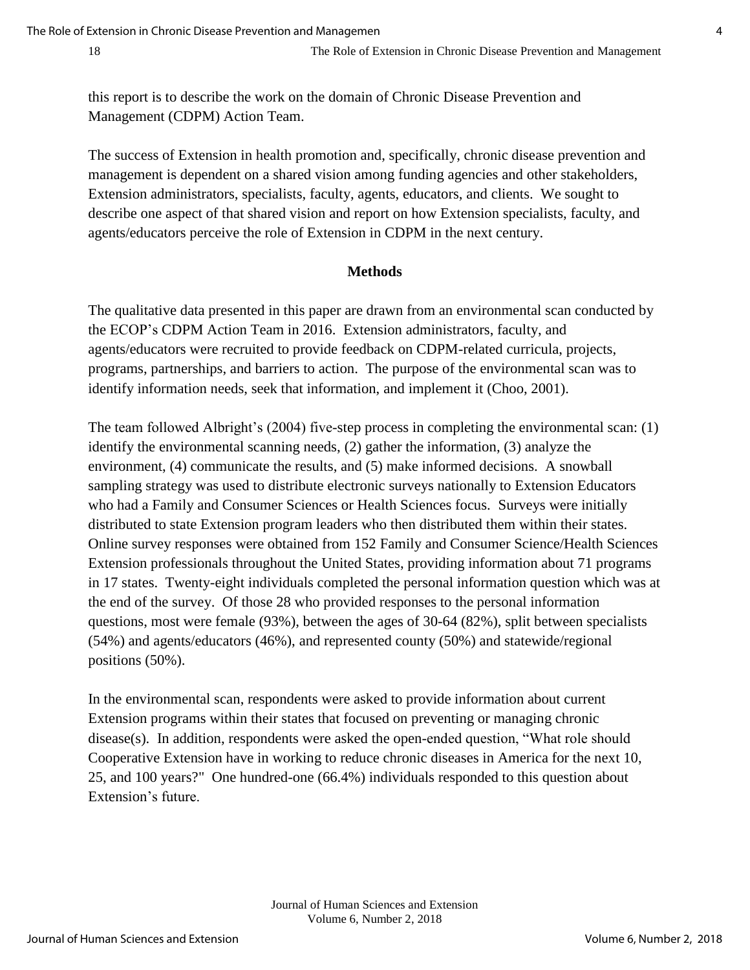this report is to describe the work on the domain of Chronic Disease Prevention and Management (CDPM) Action Team.

The success of Extension in health promotion and, specifically, chronic disease prevention and management is dependent on a shared vision among funding agencies and other stakeholders, Extension administrators, specialists, faculty, agents, educators, and clients. We sought to describe one aspect of that shared vision and report on how Extension specialists, faculty, and agents/educators perceive the role of Extension in CDPM in the next century.

## **Methods**

The qualitative data presented in this paper are drawn from an environmental scan conducted by the ECOP's CDPM Action Team in 2016. Extension administrators, faculty, and agents/educators were recruited to provide feedback on CDPM-related curricula, projects, programs, partnerships, and barriers to action. The purpose of the environmental scan was to identify information needs, seek that information, and implement it (Choo, 2001).

The team followed Albright's (2004) five-step process in completing the environmental scan: (1) identify the environmental scanning needs, (2) gather the information, (3) analyze the environment, (4) communicate the results, and (5) make informed decisions. A snowball sampling strategy was used to distribute electronic surveys nationally to Extension Educators who had a Family and Consumer Sciences or Health Sciences focus. Surveys were initially distributed to state Extension program leaders who then distributed them within their states. Online survey responses were obtained from 152 Family and Consumer Science/Health Sciences Extension professionals throughout the United States, providing information about 71 programs in 17 states. Twenty-eight individuals completed the personal information question which was at the end of the survey. Of those 28 who provided responses to the personal information questions, most were female (93%), between the ages of 30-64 (82%), split between specialists (54%) and agents/educators (46%), and represented county (50%) and statewide/regional positions (50%).

In the environmental scan, respondents were asked to provide information about current Extension programs within their states that focused on preventing or managing chronic disease(s). In addition, respondents were asked the open-ended question, "What role should Cooperative Extension have in working to reduce chronic diseases in America for the next 10, 25, and 100 years?" One hundred-one (66.4%) individuals responded to this question about Extension's future.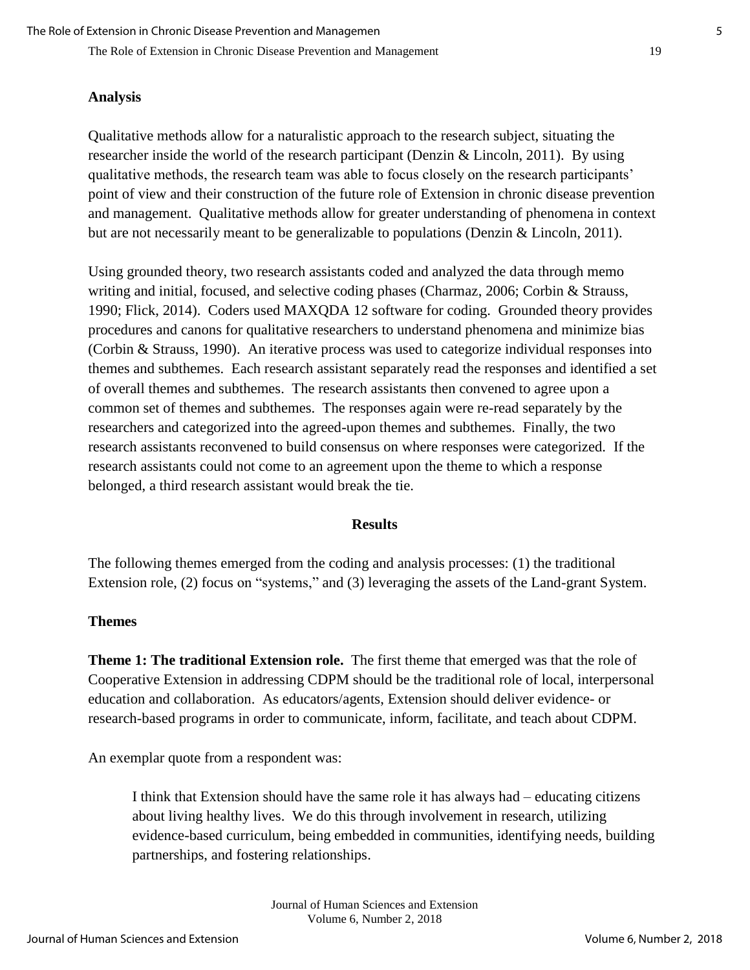#### **Analysis**

Qualitative methods allow for a naturalistic approach to the research subject, situating the researcher inside the world of the research participant (Denzin & Lincoln, 2011). By using qualitative methods, the research team was able to focus closely on the research participants' point of view and their construction of the future role of Extension in chronic disease prevention and management. Qualitative methods allow for greater understanding of phenomena in context but are not necessarily meant to be generalizable to populations (Denzin & Lincoln, 2011).

Using grounded theory, two research assistants coded and analyzed the data through memo writing and initial, focused, and selective coding phases (Charmaz, 2006; Corbin & Strauss, 1990; Flick, 2014). Coders used MAXQDA 12 software for coding. Grounded theory provides procedures and canons for qualitative researchers to understand phenomena and minimize bias (Corbin & Strauss, 1990). An iterative process was used to categorize individual responses into themes and subthemes. Each research assistant separately read the responses and identified a set of overall themes and subthemes. The research assistants then convened to agree upon a common set of themes and subthemes. The responses again were re-read separately by the researchers and categorized into the agreed-upon themes and subthemes. Finally, the two research assistants reconvened to build consensus on where responses were categorized. If the research assistants could not come to an agreement upon the theme to which a response belonged, a third research assistant would break the tie.

#### **Results**

The following themes emerged from the coding and analysis processes: (1) the traditional Extension role, (2) focus on "systems," and (3) leveraging the assets of the Land-grant System.

## **Themes**

**Theme 1: The traditional Extension role.** The first theme that emerged was that the role of Cooperative Extension in addressing CDPM should be the traditional role of local, interpersonal education and collaboration. As educators/agents, Extension should deliver evidence- or research-based programs in order to communicate, inform, facilitate, and teach about CDPM.

An exemplar quote from a respondent was:

I think that Extension should have the same role it has always had – educating citizens about living healthy lives. We do this through involvement in research, utilizing evidence-based curriculum, being embedded in communities, identifying needs, building partnerships, and fostering relationships.

> Journal of Human Sciences and Extension Volume 6, Number 2, 2018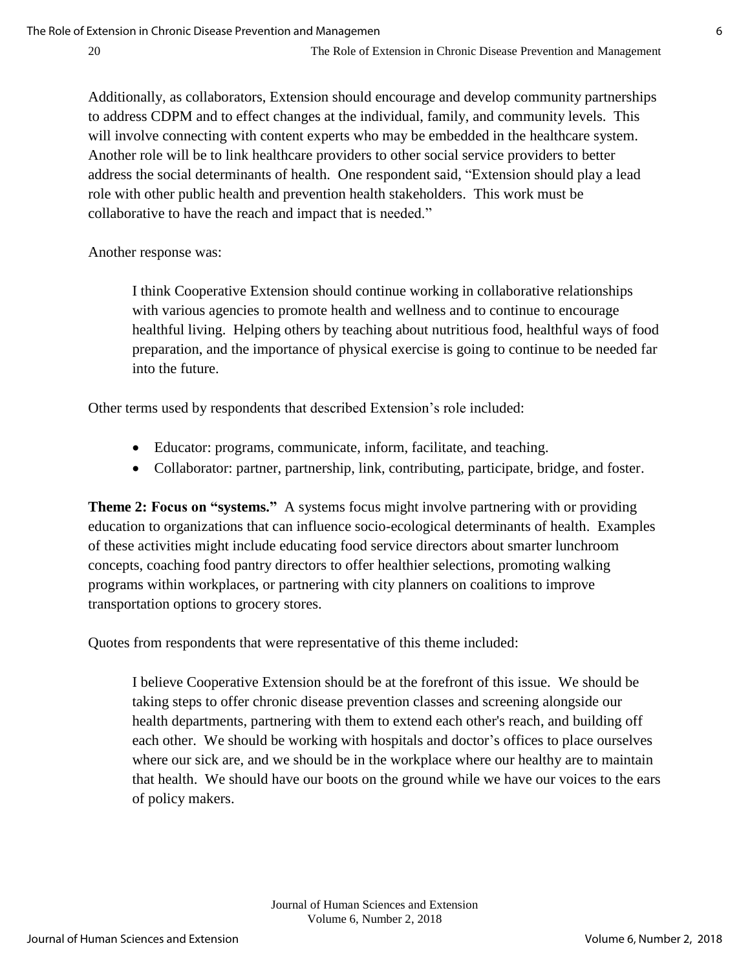Additionally, as collaborators, Extension should encourage and develop community partnerships to address CDPM and to effect changes at the individual, family, and community levels. This will involve connecting with content experts who may be embedded in the healthcare system. Another role will be to link healthcare providers to other social service providers to better address the social determinants of health. One respondent said, "Extension should play a lead role with other public health and prevention health stakeholders. This work must be collaborative to have the reach and impact that is needed."

Another response was:

I think Cooperative Extension should continue working in collaborative relationships with various agencies to promote health and wellness and to continue to encourage healthful living. Helping others by teaching about nutritious food, healthful ways of food preparation, and the importance of physical exercise is going to continue to be needed far into the future.

Other terms used by respondents that described Extension's role included:

- Educator: programs, communicate, inform, facilitate, and teaching.
- Collaborator: partner, partnership, link, contributing, participate, bridge, and foster.

**Theme 2: Focus on "systems."** A systems focus might involve partnering with or providing education to organizations that can influence socio-ecological determinants of health. Examples of these activities might include educating food service directors about smarter lunchroom concepts, coaching food pantry directors to offer healthier selections, promoting walking programs within workplaces, or partnering with city planners on coalitions to improve transportation options to grocery stores.

Quotes from respondents that were representative of this theme included:

I believe Cooperative Extension should be at the forefront of this issue. We should be taking steps to offer chronic disease prevention classes and screening alongside our health departments, partnering with them to extend each other's reach, and building off each other. We should be working with hospitals and doctor's offices to place ourselves where our sick are, and we should be in the workplace where our healthy are to maintain that health. We should have our boots on the ground while we have our voices to the ears of policy makers.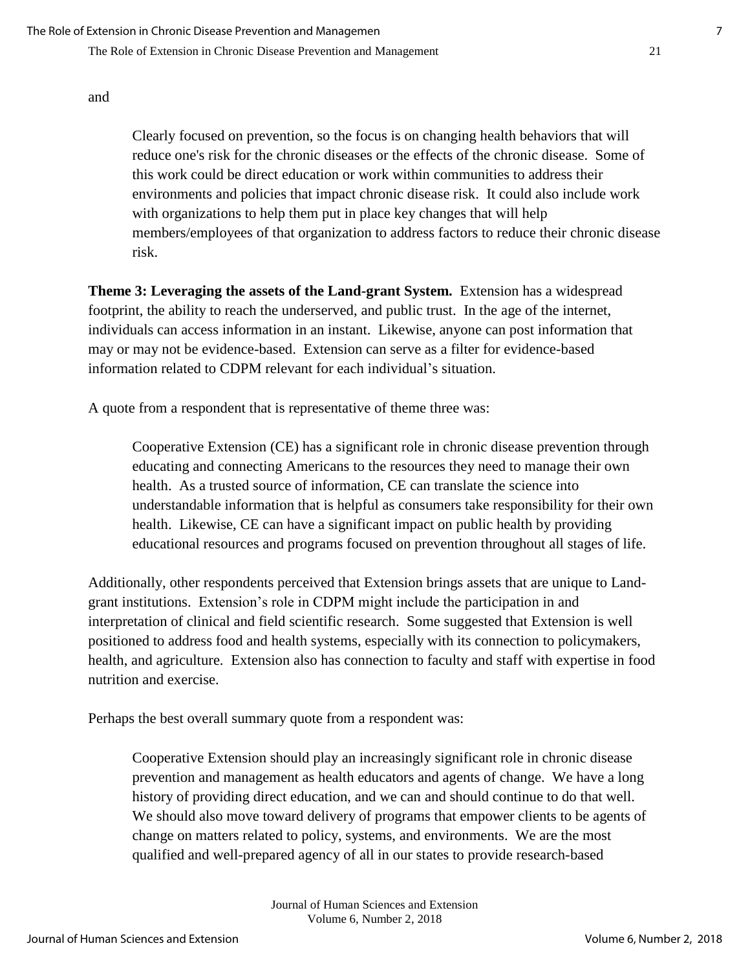and

Clearly focused on prevention, so the focus is on changing health behaviors that will reduce one's risk for the chronic diseases or the effects of the chronic disease. Some of this work could be direct education or work within communities to address their environments and policies that impact chronic disease risk. It could also include work with organizations to help them put in place key changes that will help members/employees of that organization to address factors to reduce their chronic disease risk.

**Theme 3: Leveraging the assets of the Land-grant System.** Extension has a widespread footprint, the ability to reach the underserved, and public trust. In the age of the internet, individuals can access information in an instant. Likewise, anyone can post information that may or may not be evidence-based. Extension can serve as a filter for evidence-based information related to CDPM relevant for each individual's situation.

A quote from a respondent that is representative of theme three was:

Cooperative Extension (CE) has a significant role in chronic disease prevention through educating and connecting Americans to the resources they need to manage their own health. As a trusted source of information, CE can translate the science into understandable information that is helpful as consumers take responsibility for their own health. Likewise, CE can have a significant impact on public health by providing educational resources and programs focused on prevention throughout all stages of life.

Additionally, other respondents perceived that Extension brings assets that are unique to Landgrant institutions. Extension's role in CDPM might include the participation in and interpretation of clinical and field scientific research. Some suggested that Extension is well positioned to address food and health systems, especially with its connection to policymakers, health, and agriculture. Extension also has connection to faculty and staff with expertise in food nutrition and exercise.

Perhaps the best overall summary quote from a respondent was:

Cooperative Extension should play an increasingly significant role in chronic disease prevention and management as health educators and agents of change. We have a long history of providing direct education, and we can and should continue to do that well. We should also move toward delivery of programs that empower clients to be agents of change on matters related to policy, systems, and environments. We are the most qualified and well-prepared agency of all in our states to provide research-based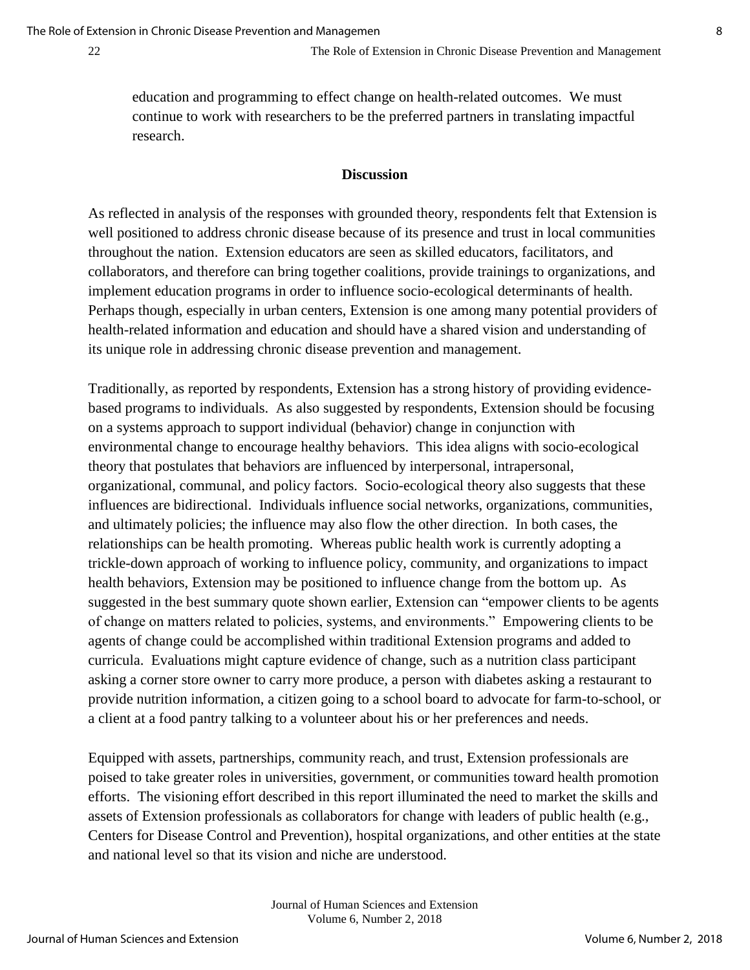education and programming to effect change on health-related outcomes. We must continue to work with researchers to be the preferred partners in translating impactful research.

### **Discussion**

As reflected in analysis of the responses with grounded theory, respondents felt that Extension is well positioned to address chronic disease because of its presence and trust in local communities throughout the nation. Extension educators are seen as skilled educators, facilitators, and collaborators, and therefore can bring together coalitions, provide trainings to organizations, and implement education programs in order to influence socio-ecological determinants of health. Perhaps though, especially in urban centers, Extension is one among many potential providers of health-related information and education and should have a shared vision and understanding of its unique role in addressing chronic disease prevention and management.

Traditionally, as reported by respondents, Extension has a strong history of providing evidencebased programs to individuals. As also suggested by respondents, Extension should be focusing on a systems approach to support individual (behavior) change in conjunction with environmental change to encourage healthy behaviors. This idea aligns with socio-ecological theory that postulates that behaviors are influenced by interpersonal, intrapersonal, organizational, communal, and policy factors. Socio-ecological theory also suggests that these influences are bidirectional. Individuals influence social networks, organizations, communities, and ultimately policies; the influence may also flow the other direction. In both cases, the relationships can be health promoting. Whereas public health work is currently adopting a trickle-down approach of working to influence policy, community, and organizations to impact health behaviors, Extension may be positioned to influence change from the bottom up. As suggested in the best summary quote shown earlier, Extension can "empower clients to be agents of change on matters related to policies, systems, and environments." Empowering clients to be agents of change could be accomplished within traditional Extension programs and added to curricula. Evaluations might capture evidence of change, such as a nutrition class participant asking a corner store owner to carry more produce, a person with diabetes asking a restaurant to provide nutrition information, a citizen going to a school board to advocate for farm-to-school, or a client at a food pantry talking to a volunteer about his or her preferences and needs.

Equipped with assets, partnerships, community reach, and trust, Extension professionals are poised to take greater roles in universities, government, or communities toward health promotion efforts. The visioning effort described in this report illuminated the need to market the skills and assets of Extension professionals as collaborators for change with leaders of public health (e.g., Centers for Disease Control and Prevention), hospital organizations, and other entities at the state and national level so that its vision and niche are understood.

> Journal of Human Sciences and Extension Volume 6, Number 2, 2018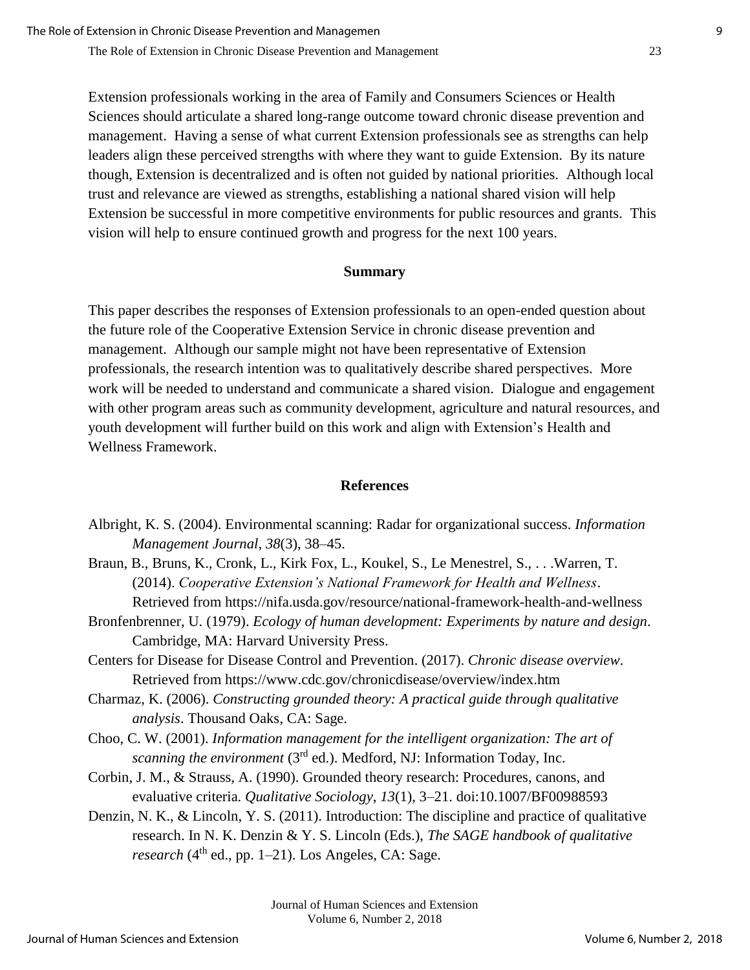Extension professionals working in the area of Family and Consumers Sciences or Health Sciences should articulate a shared long-range outcome toward chronic disease prevention and management. Having a sense of what current Extension professionals see as strengths can help leaders align these perceived strengths with where they want to guide Extension. By its nature though, Extension is decentralized and is often not guided by national priorities. Although local trust and relevance are viewed as strengths, establishing a national shared vision will help Extension be successful in more competitive environments for public resources and grants. This vision will help to ensure continued growth and progress for the next 100 years.

#### **Summary**

This paper describes the responses of Extension professionals to an open-ended question about the future role of the Cooperative Extension Service in chronic disease prevention and management. Although our sample might not have been representative of Extension professionals, the research intention was to qualitatively describe shared perspectives. More work will be needed to understand and communicate a shared vision. Dialogue and engagement with other program areas such as community development, agriculture and natural resources, and youth development will further build on this work and align with Extension's Health and Wellness Framework.

### **References**

- Albright, K. S. (2004). Environmental scanning: Radar for organizational success. *Information Management Journal*, *38*(3), 38–45.
- Braun, B., Bruns, K., Cronk, L., Kirk Fox, L., Koukel, S., Le Menestrel, S., . . .Warren, T. (2014). *Cooperative Extension's National Framework for Health and Wellness*. Retrieved from https://nifa.usda.gov/resource/national-framework-health-and-wellness
- Bronfenbrenner, U. (1979). *Ecology of human development: Experiments by nature and design*. Cambridge, MA: Harvard University Press.
- Centers for Disease for Disease Control and Prevention. (2017). *Chronic disease overview*. Retrieved from https://www.cdc.gov/chronicdisease/overview/index.htm
- Charmaz, K. (2006). *Constructing grounded theory: A practical guide through qualitative analysis*. Thousand Oaks, CA: Sage.
- Choo, C. W. (2001). *Information management for the intelligent organization: The art of*  scanning the environment (3<sup>rd</sup> ed.). Medford, NJ: Information Today, Inc.
- Corbin, J. M., & Strauss, A. (1990). Grounded theory research: Procedures, canons, and evaluative criteria. *Qualitative Sociology*, *13*(1), 3–21. doi:10.1007/BF00988593
- Denzin, N. K., & Lincoln, Y. S. (2011). Introduction: The discipline and practice of qualitative research. In N. K. Denzin & Y. S. Lincoln (Eds.), *The SAGE handbook of qualitative*  research (4<sup>th</sup> ed., pp. 1–21). Los Angeles, CA: Sage.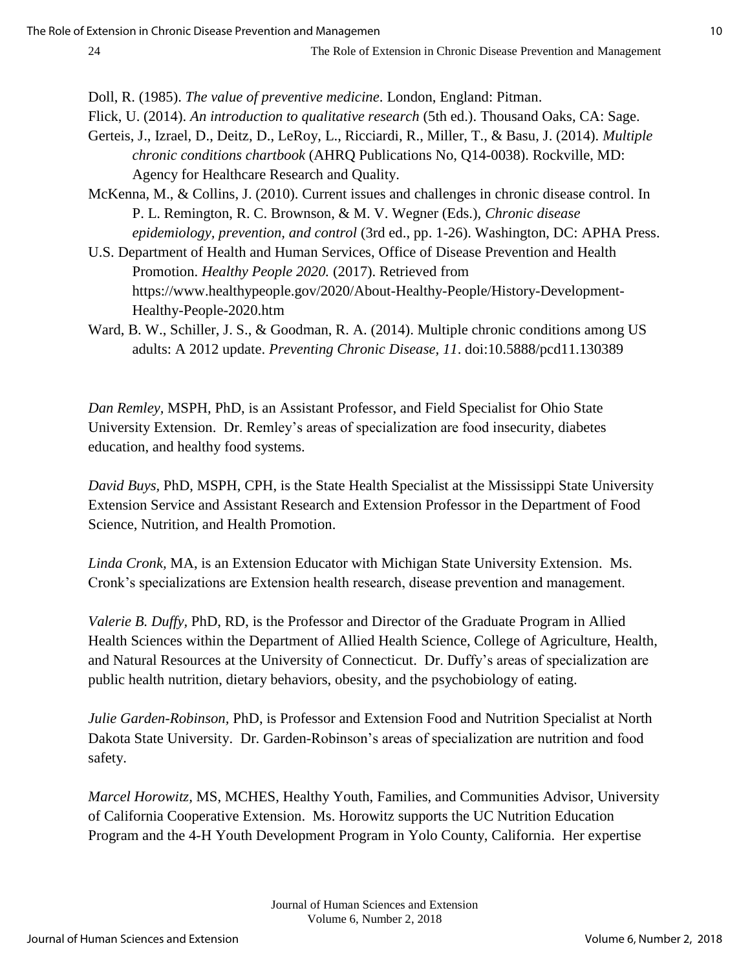Doll, R. (1985). *The value of preventive medicine*. London, England: Pitman.

Flick, U. (2014). *An introduction to qualitative research* (5th ed.). Thousand Oaks, CA: Sage.

- Gerteis, J., Izrael, D., Deitz, D., LeRoy, L., Ricciardi, R., Miller, T., & Basu, J. (2014). *Multiple chronic conditions chartbook* (AHRQ Publications No, Q14-0038). Rockville, MD: Agency for Healthcare Research and Quality.
- McKenna, M., & Collins, J. (2010). Current issues and challenges in chronic disease control. In P. L. Remington, R. C. Brownson, & M. V. Wegner (Eds.), *Chronic disease epidemiology, prevention, and control* (3rd ed., pp. 1-26). Washington, DC: APHA Press.
- U.S. Department of Health and Human Services, Office of Disease Prevention and Health Promotion. *Healthy People 2020.* (2017). Retrieved from https://www.healthypeople.gov/2020/About-Healthy-People/History-Development-Healthy-People-2020.htm
- Ward, B. W., Schiller, J. S., & Goodman, R. A. (2014). Multiple chronic conditions among US adults: A 2012 update. *Preventing Chronic Disease, 11*. doi:10.5888/pcd11.130389

*Dan Remley,* MSPH, PhD, is an Assistant Professor, and Field Specialist for Ohio State University Extension. Dr. Remley's areas of specialization are food insecurity, diabetes education, and healthy food systems.

*David Buys,* PhD, MSPH, CPH, is the State Health Specialist at the Mississippi State University Extension Service and Assistant Research and Extension Professor in the Department of Food Science, Nutrition, and Health Promotion.

*Linda Cronk,* MA, is an Extension Educator with Michigan State University Extension. Ms. Cronk's specializations are Extension health research, disease prevention and management.

*Valerie B. Duffy,* PhD, RD, is the Professor and Director of the Graduate Program in Allied Health Sciences within the Department of Allied Health Science, College of Agriculture, Health, and Natural Resources at the University of Connecticut. Dr. Duffy's areas of specialization are public health nutrition, dietary behaviors, obesity, and the psychobiology of eating.

*Julie Garden-Robinson,* PhD, is Professor and Extension Food and Nutrition Specialist at North Dakota State University. Dr. Garden-Robinson's areas of specialization are nutrition and food safety.

*Marcel Horowitz,* MS, MCHES, Healthy Youth, Families, and Communities Advisor, University of California Cooperative Extension. Ms. Horowitz supports the UC Nutrition Education Program and the 4-H Youth Development Program in Yolo County, California. Her expertise